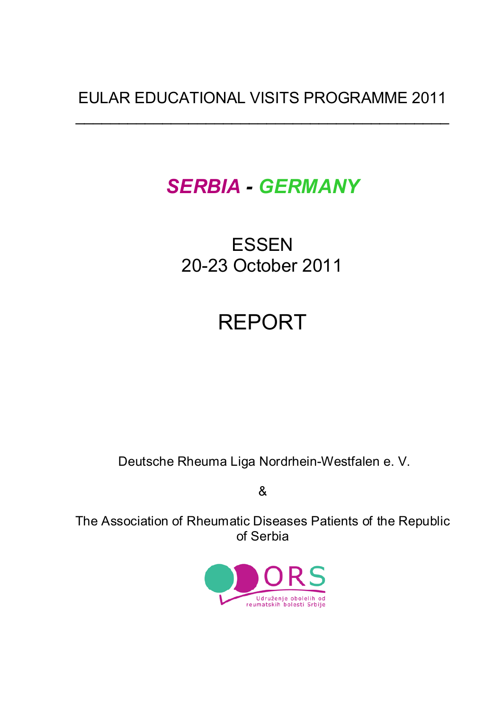## EULAR EDUCATIONAL VISITS PROGRAMME 2011

 $\overline{\phantom{a}}$  , and the contract of the contract of the contract of the contract of the contract of the contract of the contract of the contract of the contract of the contract of the contract of the contract of the contrac

# *SERBIA - GERMANY*

## ESSEN 20-23 October 2011

# REPORT

Deutsche Rheuma Liga Nordrhein-Westfalen e. V.

&

The Association of Rheumatic Diseases Patients of the Republic of Serbia

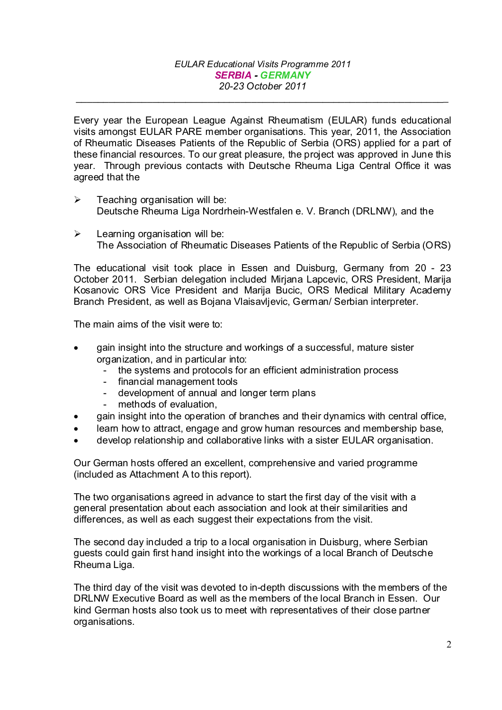*\_\_\_\_\_\_\_\_\_\_\_\_\_\_\_\_\_\_\_\_\_\_\_\_\_\_\_\_\_\_\_\_\_\_\_\_\_\_\_\_\_\_\_\_\_\_\_\_\_\_\_\_\_\_\_\_\_\_\_\_\_\_\_\_\_\_\_\_*

Every year the European League Against Rheumatism (EULAR) funds educational visits amongst EULAR PARE member organisations. This year, 2011, the Association of Rheumatic Diseases Patients of the Republic of Serbia (ORS) applied for a part of these financial resources. To our great pleasure, the project was approved in June this year. Through previous contacts with Deutsche Rheuma Liga Central Office it was agreed that the

- $\triangleright$  Teaching organisation will be: Deutsche Rheuma Liga Nordrhein-Westfalen e. V. Branch (DRLNW), and the
- $\triangleright$  Learning organisation will be: The Association of Rheumatic Diseases Patients of the Republic of Serbia (ORS)

The educational visit took place in Essen and Duisburg, Germany from 20 - 23 October 2011. Serbian delegation included Mirjana Lapcevic, ORS President, Marija Kosanovic ORS Vice President and Marija Bucic, ORS Medical Military Academy Branch President, as well as Bojana Vlaisavljevic, German/ Serbian interpreter.

The main aims of the visit were to:

- gain insight into the structure and workings of a successful, mature sister organization, and in particular into:
	- the systems and protocols for an efficient administration process
	- financial management tools
	- development of annual and longer term plans
	- methods of evaluation,
- gain insight into the operation of branches and their dynamics with central office,
- learn how to attract, engage and grow human resources and membership base,
- develop relationship and collaborative links with a sister EULAR organisation.

Our German hosts offered an excellent, comprehensive and varied programme (included as Attachment A to this report).

The two organisations agreed in advance to start the first day of the visit with a general presentation about each association and look at their similarities and differences, as well as each suggest their expectations from the visit.

The second day included a trip to a local organisation in Duisburg, where Serbian guests could gain first hand insight into the workings of a local Branch of Deutsche Rheuma Liga.

The third day of the visit was devoted to in-depth discussions with the members of the DRLNW Executive Board as well as the members of the local Branch in Essen. Our kind German hosts also took us to meet with representatives of their close partner organisations.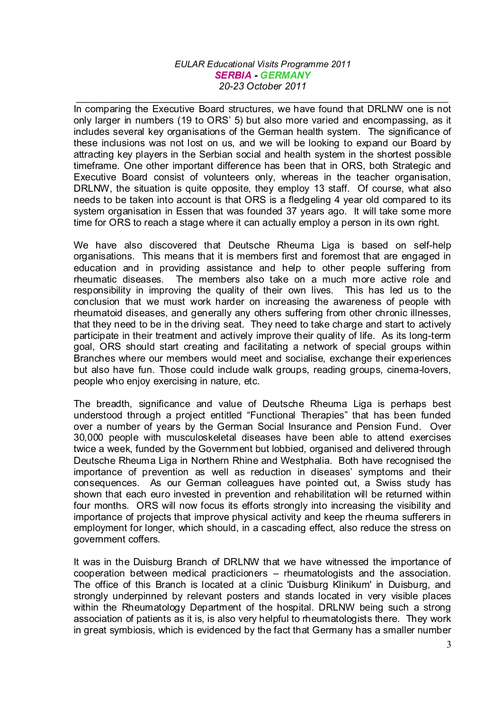*\_\_\_\_\_\_\_\_\_\_\_\_\_\_\_\_\_\_\_\_\_\_\_\_\_\_\_\_\_\_\_\_\_\_\_\_\_\_\_\_\_\_\_\_\_\_\_\_\_\_\_\_\_\_\_\_\_\_\_\_\_\_\_\_\_\_\_\_*

In comparing the Executive Board structures, we have found that DRLNW one is not only larger in numbers (19 to ORS' 5) but also more varied and encompassing, as it includes several key organisations of the German health system. The significance of these inclusions was not lost on us, and we will be looking to expand our Board by attracting key players in the Serbian social and health system in the shortest possible timeframe. One other important difference has been that in ORS, both Strategic and Executive Board consist of volunteers only, whereas in the teacher organisation, DRLNW, the situation is quite opposite, they employ 13 staff. Of course, what also needs to be taken into account is that ORS is a fledgeling 4 year old compared to its system organisation in Essen that was founded 37 years ago. It will take some more time for ORS to reach a stage where it can actually employ a person in its own right.

We have also discovered that Deutsche Rheuma Liga is based on self-help organisations. This means that it is members first and foremost that are engaged in education and in providing assistance and help to other people suffering from rheumatic diseases. The members also take on a much more active role and responsibility in improving the quality of their own lives. This has led us to the conclusion that we must work harder on increasing the awareness of people with rheumatoid diseases, and generally any others suffering from other chronic illnesses, that they need to be in the driving seat. They need to take charge and start to actively participate in their treatment and actively improve their quality of life. As its long-term goal, ORS should start creating and facilitating a network of special groups within Branches where our members would meet and socialise, exchange their experiences but also have fun. Those could include walk groups, reading groups, cinema-lovers, people who enjoy exercising in nature, etc.

The breadth, significance and value of Deutsche Rheuma Liga is perhaps best understood through a project entitled "Functional Therapies" that has been funded over a number of years by the German Social Insurance and Pension Fund. Over 30,000 people with musculoskeletal diseases have been able to attend exercises twice a week, funded by the Government but lobbied, organised and delivered through Deutsche Rheuma Liga in Northern Rhine and Westphalia. Both have recognised the importance of prevention as well as reduction in diseases' symptoms and their consequences. As our German colleagues have pointed out, a Swiss study has shown that each euro invested in prevention and rehabilitation will be returned within four months. ORS will now focus its efforts strongly into increasing the visibility and importance of projects that improve physical activity and keep the rheuma sufferers in employment for longer, which should, in a cascading effect, also reduce the stress on government coffers.

It was in the Duisburg Branch of DRLNW that we have witnessed the importance of cooperation between medical practicioners – rheumatologists and the association. The office of this Branch is located at a clinic 'Duisburg Klinikum' in Duisburg, and strongly underpinned by relevant posters and stands located in very visible places within the Rheumatology Department of the hospital. DRLNW being such a strong association of patients as it is, is also very helpful to rheumatologists there. They work in great symbiosis, which is evidenced by the fact that Germany has a smaller number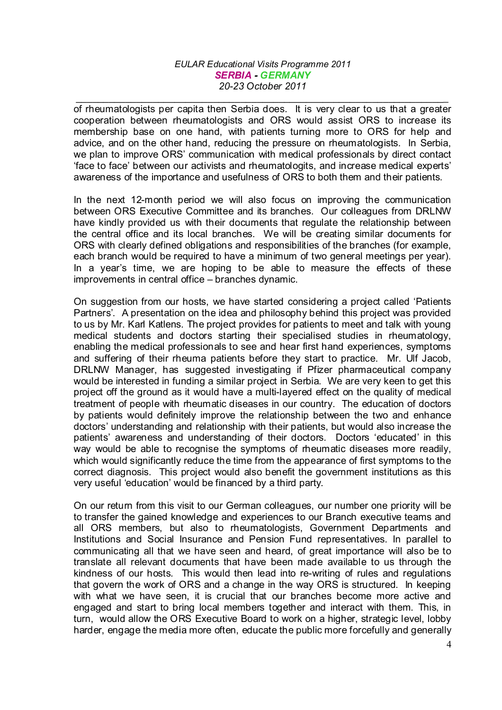*\_\_\_\_\_\_\_\_\_\_\_\_\_\_\_\_\_\_\_\_\_\_\_\_\_\_\_\_\_\_\_\_\_\_\_\_\_\_\_\_\_\_\_\_\_\_\_\_\_\_\_\_\_\_\_\_\_\_\_\_\_\_\_\_\_\_\_\_*

of rheumatologists per capita then Serbia does. It is very clear to us that a greater cooperation between rheumatologists and ORS would assist ORS to increase its membership base on one hand, with patients turning more to ORS for help and advice, and on the other hand, reducing the pressure on rheumatologists. In Serbia, we plan to improve ORS' communication with medical professionals by direct contact 'face to face' between our activists and rheumatologits, and increase medical experts' awareness of the importance and usefulness of ORS to both them and their patients.

In the next 12-month period we will also focus on improving the communication between ORS Executive Committee and its branches. Our colleagues from DRLNW have kindly provided us with their documents that regulate the relationship between the central office and its local branches. We will be creating similar documents for ORS with clearly defined obligations and responsibilities of the branches (for example, each branch would be required to have a minimum of two general meetings per year). In a year's time, we are hoping to be able to measure the effects of these improvements in central office – branches dynamic.

On suggestion from our hosts, we have started considering a project called 'Patients Partners'. A presentation on the idea and philosophy behind this project was provided to us by Mr. Karl Katlens. The project provides for patients to meet and talk with young medical students and doctors starting their specialised studies in rheumatology, enabling the medical professionals to see and hear first hand experiences, symptoms and suffering of their rheuma patients before they start to practice. Mr. Ulf Jacob, DRLNW Manager, has suggested investigating if Pfizer pharmaceutical company would be interested in funding a similar project in Serbia. We are very keen to get this project off the ground as it would have a multi-layered effect on the quality of medical treatment of people with rheumatic diseases in our country. The education of doctors by patients would definitely improve the relationship between the two and enhance doctors' understanding and relationship with their patients, but would also increase the patients' awareness and understanding of their doctors. Doctors 'educated' in this way would be able to recognise the symptoms of rheumatic diseases more readily, which would significantly reduce the time from the appearance of first symptoms to the correct diagnosis. This project would also benefit the government institutions as this very useful 'education' would be financed by a third party.

On our return from this visit to our German colleagues, our number one priority will be to transfer the gained knowledge and experiences to our Branch executive teams and all ORS members, but also to rheumatologists, Government Departments and Institutions and Social Insurance and Pension Fund representatives. In parallel to communicating all that we have seen and heard, of great importance will also be to translate all relevant documents that have been made available to us through the kindness of our hosts. This would then lead into re-writing of rules and regulations that govern the work of ORS and a change in the way ORS is structured. In keeping with what we have seen, it is crucial that our branches become more active and engaged and start to bring local members together and interact with them. This, in turn, would allow the ORS Executive Board to work on a higher, strategic level, lobby harder, engage the media more often, educate the public more forcefully and generally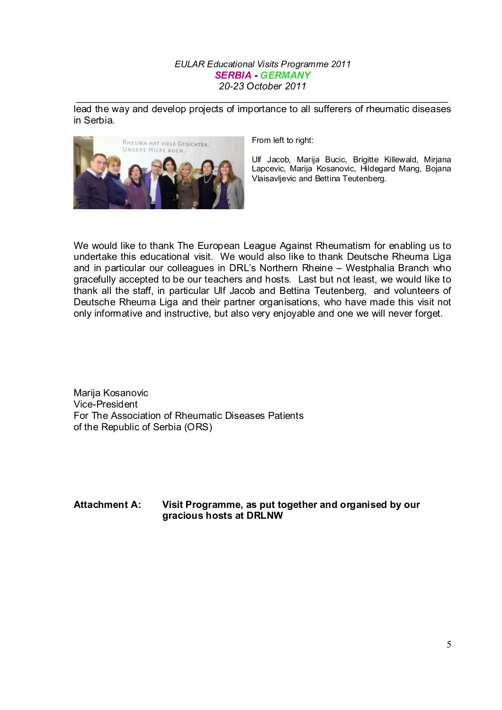*\_\_\_\_\_\_\_\_\_\_\_\_\_\_\_\_\_\_\_\_\_\_\_\_\_\_\_\_\_\_\_\_\_\_\_\_\_\_\_\_\_\_\_\_\_\_\_\_\_\_\_\_\_\_\_\_\_\_\_\_\_\_\_\_\_\_\_\_* lead the way and develop projects of importance to all sufferers of rheumatic diseases in Serbia.



From left to right:

Ulf Jacob, Marija Bucic, Brigitte Killewald, Mirjana Lapcevic, Marija Kosanovic, Hildegard Mang, Bojana Vlaisavljevic and Bettina Teutenberg.

We would like to thank The European League Against Rheumatism for enabling us to undertake this educational visit. We would also like to thank Deutsche Rheuma Liga and in particular our colleagues in DRL's Northern Rheine – Westphalia Branch who gracefully accepted to be our teachers and hosts. Last but not least, we would like to thank all the staff, in particular Ulf Jacob and Bettina Teutenberg, and volunteers of Deutsche Rheuma Liga and their partner organisations, who have made this visit not only informative and instructive, but also very enjoyable and one we will never forget.

Marija Kosanovic Vice-President For The Association of Rheumatic Diseases Patients of the Republic of Serbia (ORS)

#### **Attachment A: Visit Programme, as put together and organised by our gracious hosts at DRLNW**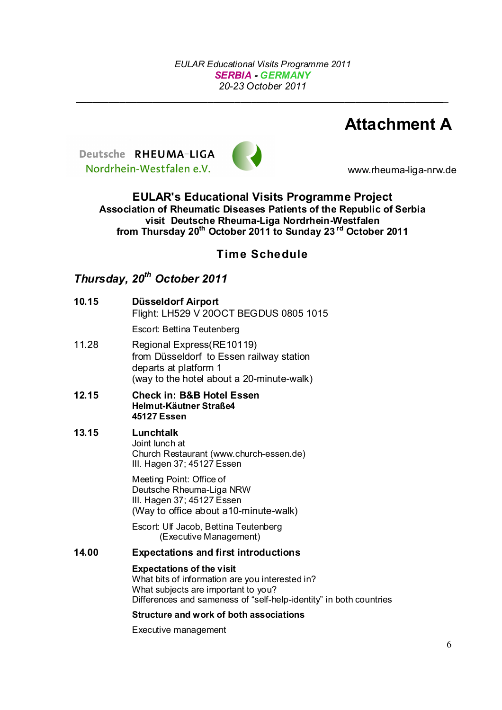*\_\_\_\_\_\_\_\_\_\_\_\_\_\_\_\_\_\_\_\_\_\_\_\_\_\_\_\_\_\_\_\_\_\_\_\_\_\_\_\_\_\_\_\_\_\_\_\_\_\_\_\_\_\_\_\_\_\_\_\_\_\_\_\_\_\_\_\_*

## **Attachment A**





www.rheuma-liga-nrw.de

**EULAR's Educational Visits Programme Project Association of Rheumatic Diseases Patients of the Republic of Serbia visit Deutsche Rheuma-Liga Nordrhein-Westfalen from Thursday 20th October 2011 to Sunday 23 rd October 2011**

### **Time Schedule**

## *Thursday, 20th October 2011*

| 10.15 | Düsseldorf Airport<br>Flight: LH529 V 20OCT BEGDUS 0805 1015                                                                                                                                     |
|-------|--------------------------------------------------------------------------------------------------------------------------------------------------------------------------------------------------|
|       | Escort: Bettina Teutenberg                                                                                                                                                                       |
| 11.28 | Regional Express(RE10119)<br>from Düsseldorf to Essen railway station<br>departs at platform 1<br>(way to the hotel about a 20-minute-walk)                                                      |
| 12.15 | <b>Check in: B&amp;B Hotel Essen</b><br>Helmut-Käutner Straße4<br>45127 Essen                                                                                                                    |
| 13.15 | Lunchtalk<br>Joint lunch at<br>Church Restaurant (www.church-essen.de)<br>III. Hagen 37; 45127 Essen                                                                                             |
|       | Meeting Point: Office of<br>Deutsche Rheuma-Liga NRW<br>III. Hagen 37; 45127 Essen<br>(Way to office about a10-minute-walk)                                                                      |
|       | Escort: Ulf Jacob, Bettina Teutenberg<br>(Executive Management)                                                                                                                                  |
| 14.00 | <b>Expectations and first introductions</b>                                                                                                                                                      |
|       | <b>Expectations of the visit</b><br>What bits of information are you interested in?<br>What subjects are important to you?<br>Differences and sameness of "self-help-identity" in both countries |
|       | <b>Structure and work of both associations</b>                                                                                                                                                   |
|       | Executive management                                                                                                                                                                             |
|       |                                                                                                                                                                                                  |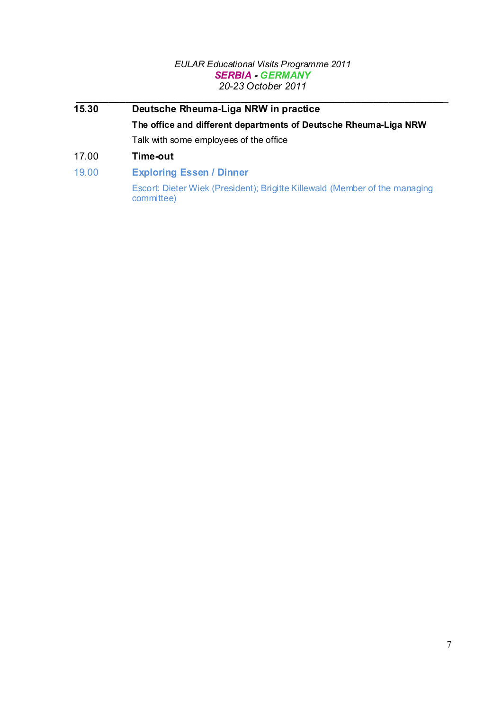- *\_\_\_\_\_\_\_\_\_\_\_\_\_\_\_\_\_\_\_\_\_\_\_\_\_\_\_\_\_\_\_\_\_\_\_\_\_\_\_\_\_\_\_\_\_\_\_\_\_\_\_\_\_\_\_\_\_\_\_\_\_\_\_\_\_\_\_\_* **15.30 Deutsche Rheuma-Liga NRW in practice The office and different departments of Deutsche Rheuma-Liga NRW** Talk with some employees of the office
- 17.00 **Time-out**
- 19.00 **Exploring Essen / Dinner**

Escort: Dieter Wiek (President); Brigitte Killewald (Member of the managing committee)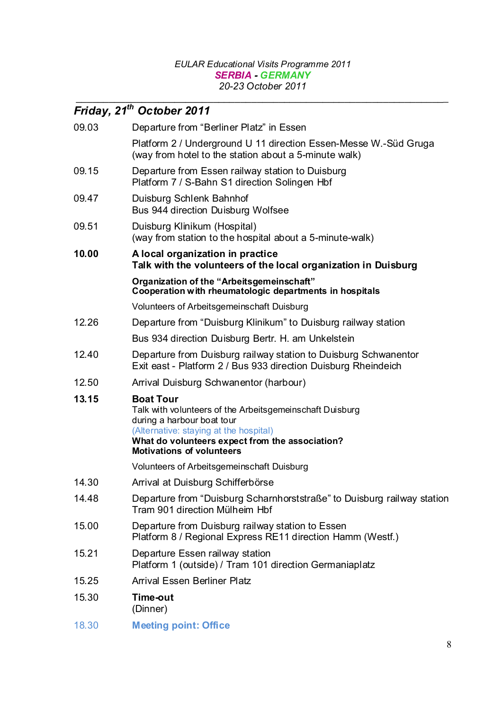*\_\_\_\_\_\_\_\_\_\_\_\_\_\_\_\_\_\_\_\_\_\_\_\_\_\_\_\_\_\_\_\_\_\_\_\_\_\_\_\_\_\_\_\_\_\_\_\_\_\_\_\_\_\_\_\_\_\_\_\_\_\_\_\_\_\_\_\_*

|       | Friday, 21 <sup>th</sup> October 2011                                                                                                                                                                                                       |
|-------|---------------------------------------------------------------------------------------------------------------------------------------------------------------------------------------------------------------------------------------------|
| 09.03 | Departure from "Berliner Platz" in Essen                                                                                                                                                                                                    |
|       | Platform 2 / Underground U 11 direction Essen-Messe W.-Süd Gruga<br>(way from hotel to the station about a 5-minute walk)                                                                                                                   |
| 09.15 | Departure from Essen railway station to Duisburg<br>Platform 7 / S-Bahn S1 direction Solingen Hbf                                                                                                                                           |
| 09.47 | Duisburg Schlenk Bahnhof<br>Bus 944 direction Duisburg Wolfsee                                                                                                                                                                              |
| 09.51 | Duisburg Klinikum (Hospital)<br>(way from station to the hospital about a 5-minute-walk)                                                                                                                                                    |
| 10.00 | A local organization in practice<br>Talk with the volunteers of the local organization in Duisburg                                                                                                                                          |
|       | Organization of the "Arbeitsgemeinschaft"<br>Cooperation with rheumatologic departments in hospitals                                                                                                                                        |
|       | Volunteers of Arbeitsgemeinschaft Duisburg                                                                                                                                                                                                  |
| 12.26 | Departure from "Duisburg Klinikum" to Duisburg railway station                                                                                                                                                                              |
|       | Bus 934 direction Duisburg Bertr. H. am Unkelstein                                                                                                                                                                                          |
| 12.40 | Departure from Duisburg railway station to Duisburg Schwanentor<br>Exit east - Platform 2 / Bus 933 direction Duisburg Rheindeich                                                                                                           |
| 12.50 | Arrival Duisburg Schwanentor (harbour)                                                                                                                                                                                                      |
| 13.15 | <b>Boat Tour</b><br>Talk with volunteers of the Arbeitsgemeinschaft Duisburg<br>during a harbour boat tour<br>(Alternative: staying at the hospital)<br>What do volunteers expect from the association?<br><b>Motivations of volunteers</b> |
|       | Volunteers of Arbeitsgemeinschaft Duisburg                                                                                                                                                                                                  |
| 14.30 | Arrival at Duisburg Schifferbörse                                                                                                                                                                                                           |
| 14.48 | Departure from "Duisburg Scharnhorststraße" to Duisburg railway station<br>Tram 901 direction Mülheim Hbf                                                                                                                                   |
| 15.00 | Departure from Duisburg railway station to Essen<br>Platform 8 / Regional Express RE11 direction Hamm (Westf.)                                                                                                                              |
| 15.21 | Departure Essen railway station<br>Platform 1 (outside) / Tram 101 direction Germaniaplatz                                                                                                                                                  |
| 15.25 | <b>Arrival Essen Berliner Platz</b>                                                                                                                                                                                                         |
| 15.30 | Time-out<br>(Dinner)                                                                                                                                                                                                                        |
| 18.30 | <b>Meeting point: Office</b>                                                                                                                                                                                                                |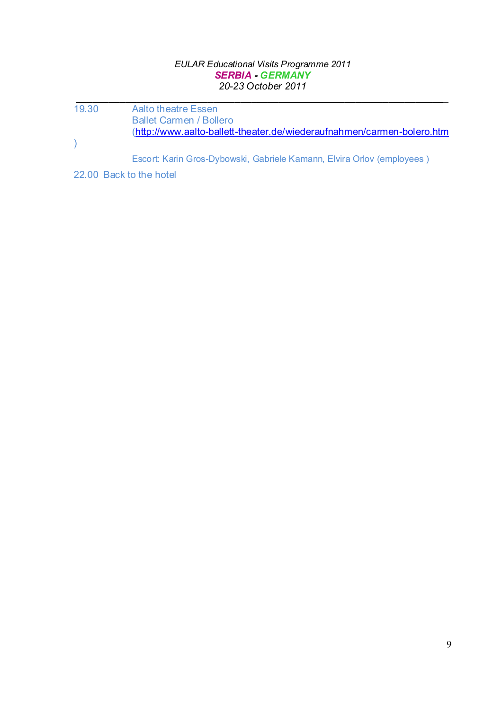*\_\_\_\_\_\_\_\_\_\_\_\_\_\_\_\_\_\_\_\_\_\_\_\_\_\_\_\_\_\_\_\_\_\_\_\_\_\_\_\_\_\_\_\_\_\_\_\_\_\_\_\_\_\_\_\_\_\_\_\_\_\_\_\_\_\_\_\_*

19.30 Aalto theatre Essen Ballet Carmen / Bollero (http://www.aalto-ballett-theater.de/wiederaufnahmen/carmen-bolero.htm  $\overline{)}$ 

Escort: Karin Gros-Dybowski, Gabriele Kamann, Elvira Orlov (employees )

22.00 Back to the hotel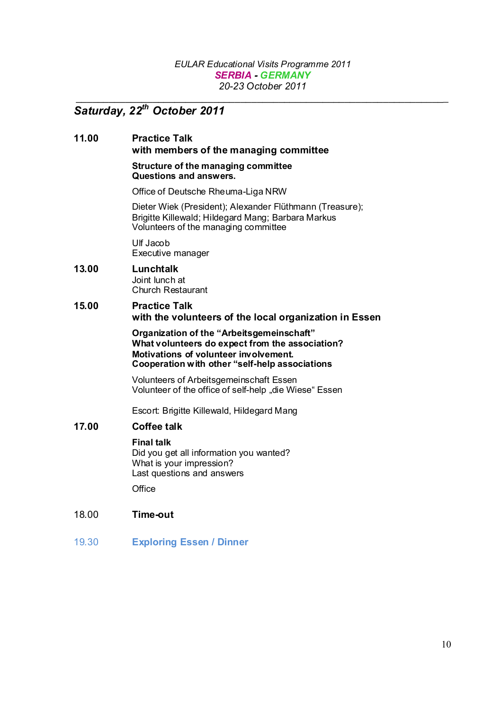*\_\_\_\_\_\_\_\_\_\_\_\_\_\_\_\_\_\_\_\_\_\_\_\_\_\_\_\_\_\_\_\_\_\_\_\_\_\_\_\_\_\_\_\_\_\_\_\_\_\_\_\_\_\_\_\_\_\_\_\_\_\_\_\_\_\_\_\_*

### *Saturday, 22th October 2011*

#### **11.00 Practice Talk with members of the managing committee**

#### **Structure of the managing committee Questions and answers.**

Office of Deutsche Rheuma-Liga NRW

Dieter Wiek (President); Alexander Flüthmann (Treasure); Brigitte Killewald; Hildegard Mang; Barbara Markus Volunteers of the managing committee

Ulf Jacob Executive manager

#### **13.00 Lunchtalk** Joint lunch at

Church Restaurant

#### **15.00 Practice Talk with the volunteers of the local organization in Essen**

**Organization of the "Arbeitsgemeinschaft" What volunteers do expect from the association? Motivations of volunteer involvement. Cooperation with other "self-help associations**

Volunteers of Arbeitsgemeinschaft Essen Volunteer of the office of self-help "die Wiese" Essen

Escort: Brigitte Killewald, Hildegard Mang

#### **17.00 Coffee talk**

#### **Final talk**

Did you get all information you wanted? What is your impression? Last questions and answers

**Office** 

#### 18.00 **Time-out**

19.30 **Exploring Essen / Dinner**